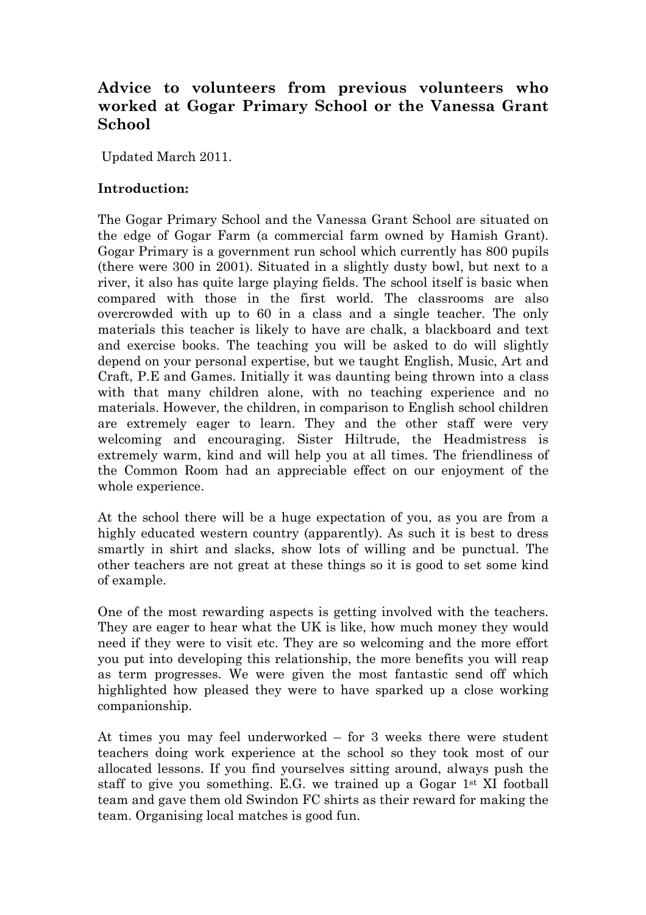# **Advice to volunteers from previous volunteers who worked at Gogar Primary School or the Vanessa Grant School**

Updated March 2011.

#### **Introduction:**

The Gogar Primary School and the Vanessa Grant School are situated on the edge of Gogar Farm (a commercial farm owned by Hamish Grant). Gogar Primary is a government run school which currently has 800 pupils (there were 300 in 2001). Situated in a slightly dusty bowl, but next to a river, it also has quite large playing fields. The school itself is basic when compared with those in the first world. The classrooms are also overcrowded with up to 60 in a class and a single teacher. The only materials this teacher is likely to have are chalk, a blackboard and text and exercise books. The teaching you will be asked to do will slightly depend on your personal expertise, but we taught English, Music, Art and Craft, P.E and Games. Initially it was daunting being thrown into a class with that many children alone, with no teaching experience and no materials. However, the children, in comparison to English school children are extremely eager to learn. They and the other staff were very welcoming and encouraging. Sister Hiltrude, the Headmistress is extremely warm, kind and will help you at all times. The friendliness of the Common Room had an appreciable effect on our enjoyment of the whole experience.

At the school there will be a huge expectation of you, as you are from a highly educated western country (apparently). As such it is best to dress smartly in shirt and slacks, show lots of willing and be punctual. The other teachers are not great at these things so it is good to set some kind of example.

One of the most rewarding aspects is getting involved with the teachers. They are eager to hear what the UK is like, how much money they would need if they were to visit etc. They are so welcoming and the more effort you put into developing this relationship, the more benefits you will reap as term progresses. We were given the most fantastic send off which highlighted how pleased they were to have sparked up a close working companionship.

At times you may feel underworked – for 3 weeks there were student teachers doing work experience at the school so they took most of our allocated lessons. If you find yourselves sitting around, always push the staff to give you something. E.G. we trained up a Gogar 1st XI football team and gave them old Swindon FC shirts as their reward for making the team. Organising local matches is good fun.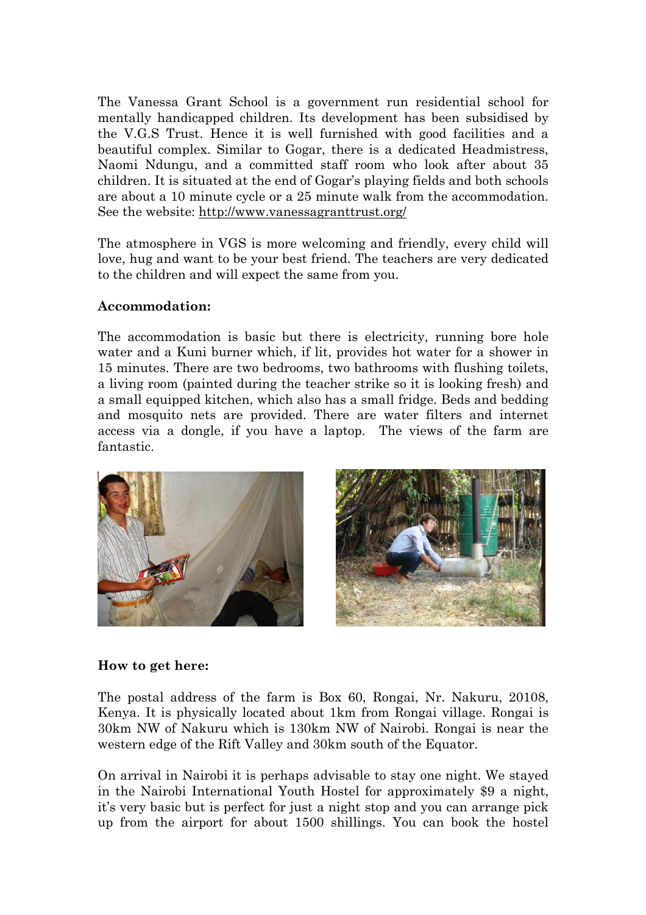The Vanessa Grant School is a government run residential school for mentally handicapped children. Its development has been subsidised by the V.G.S Trust. Hence it is well furnished with good facilities and a beautiful complex. Similar to Gogar, there is a dedicated Headmistress, Naomi Ndungu, and a committed staff room who look after about 35 children. It is situated at the end of Gogar's playing fields and both schools are about a 10 minute cycle or a 25 minute walk from the accommodation. See the website: <http://www.vanessagranttrust.org/>

The atmosphere in VGS is more welcoming and friendly, every child will love, hug and want to be your best friend. The teachers are very dedicated to the children and will expect the same from you.

#### **Accommodation:**

The accommodation is basic but there is electricity, running bore hole water and a Kuni burner which, if lit, provides hot water for a shower in 15 minutes. There are two bedrooms, two bathrooms with flushing toilets, a living room (painted during the teacher strike so it is looking fresh) and a small equipped kitchen, which also has a small fridge. Beds and bedding and mosquito nets are provided. There are water filters and internet access via a dongle, if you have a laptop. The views of the farm are fantastic.



#### **How to get here:**

The postal address of the farm is Box 60, Rongai, Nr. Nakuru, 20108, Kenya. It is physically located about 1km from Rongai village. Rongai is 30km NW of Nakuru which is 130km NW of Nairobi. Rongai is near the western edge of the Rift Valley and 30km south of the Equator.

On arrival in Nairobi it is perhaps advisable to stay one night. We stayed in the Nairobi International Youth Hostel for approximately \$9 a night, it's very basic but is perfect for just a night stop and you can arrange pick up from the airport for about 1500 shillings. You can book the hostel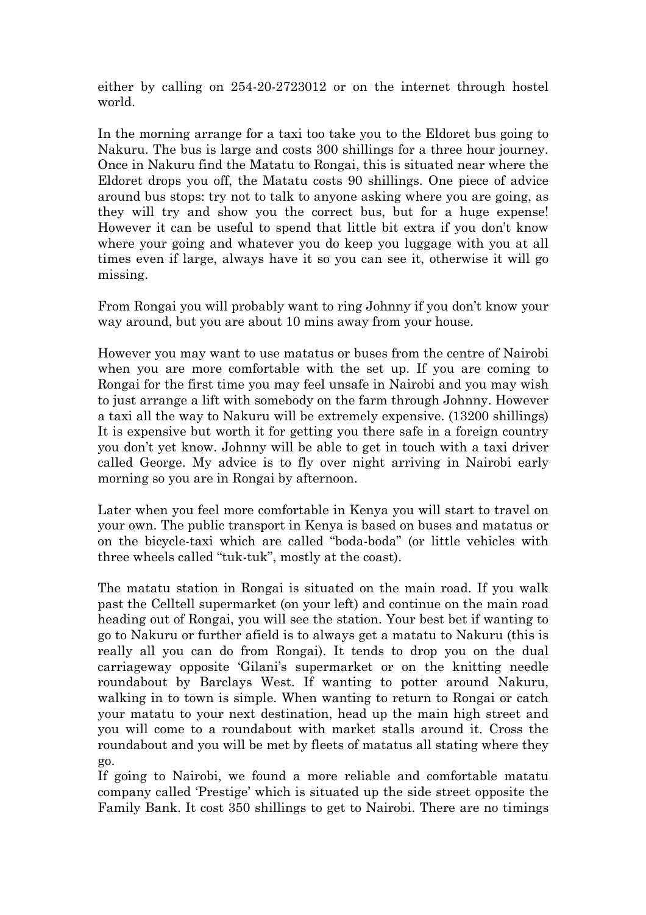either by calling on 254-20-2723012 or on the internet through hostel world.

In the morning arrange for a taxi too take you to the Eldoret bus going to Nakuru. The bus is large and costs 300 shillings for a three hour journey. Once in Nakuru find the Matatu to Rongai, this is situated near where the Eldoret drops you off, the Matatu costs 90 shillings. One piece of advice around bus stops: try not to talk to anyone asking where you are going, as they will try and show you the correct bus, but for a huge expense! However it can be useful to spend that little bit extra if you don't know where your going and whatever you do keep you luggage with you at all times even if large, always have it so you can see it, otherwise it will go missing.

From Rongai you will probably want to ring Johnny if you don't know your way around, but you are about 10 mins away from your house.

However you may want to use matatus or buses from the centre of Nairobi when you are more comfortable with the set up. If you are coming to Rongai for the first time you may feel unsafe in Nairobi and you may wish to just arrange a lift with somebody on the farm through Johnny. However a taxi all the way to Nakuru will be extremely expensive. (13200 shillings) It is expensive but worth it for getting you there safe in a foreign country you don't yet know. Johnny will be able to get in touch with a taxi driver called George. My advice is to fly over night arriving in Nairobi early morning so you are in Rongai by afternoon.

Later when you feel more comfortable in Kenya you will start to travel on your own. The public transport in Kenya is based on buses and matatus or on the bicycle-taxi which are called "boda-boda" (or little vehicles with three wheels called "tuk-tuk", mostly at the coast).

The matatu station in Rongai is situated on the main road. If you walk past the Celltell supermarket (on your left) and continue on the main road heading out of Rongai, you will see the station. Your best bet if wanting to go to Nakuru or further afield is to always get a matatu to Nakuru (this is really all you can do from Rongai). It tends to drop you on the dual carriageway opposite 'Gilani's supermarket or on the knitting needle roundabout by Barclays West. If wanting to potter around Nakuru, walking in to town is simple. When wanting to return to Rongai or catch your matatu to your next destination, head up the main high street and you will come to a roundabout with market stalls around it. Cross the roundabout and you will be met by fleets of matatus all stating where they go.

If going to Nairobi, we found a more reliable and comfortable matatu company called 'Prestige' which is situated up the side street opposite the Family Bank. It cost 350 shillings to get to Nairobi. There are no timings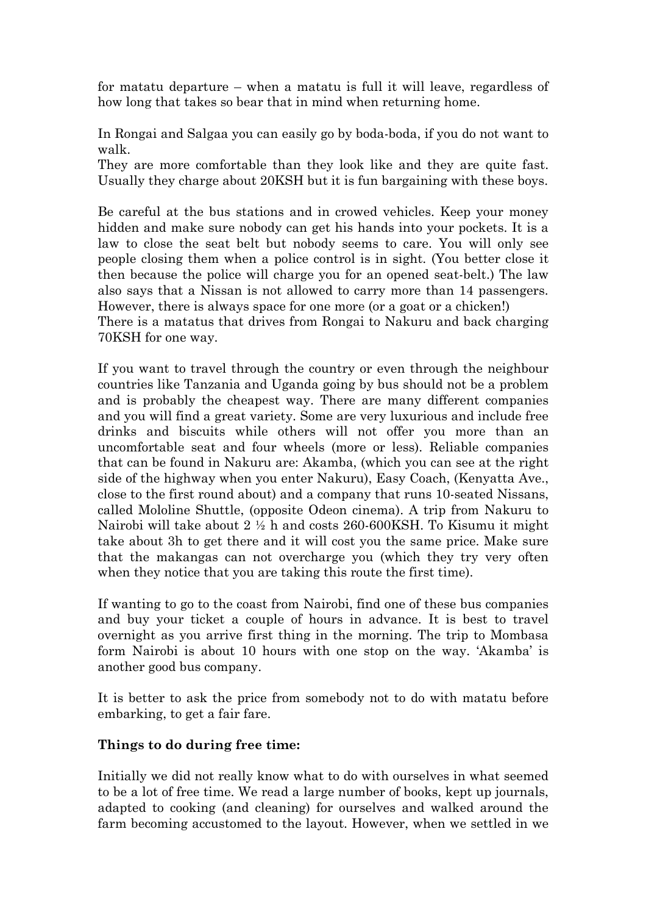for matatu departure – when a matatu is full it will leave, regardless of how long that takes so bear that in mind when returning home.

In Rongai and Salgaa you can easily go by boda-boda, if you do not want to walk.

They are more comfortable than they look like and they are quite fast. Usually they charge about 20KSH but it is fun bargaining with these boys.

Be careful at the bus stations and in crowed vehicles. Keep your money hidden and make sure nobody can get his hands into your pockets. It is a law to close the seat belt but nobody seems to care. You will only see people closing them when a police control is in sight. (You better close it then because the police will charge you for an opened seat-belt.) The law also says that a Nissan is not allowed to carry more than 14 passengers. However, there is always space for one more (or a goat or a chicken!)

There is a matatus that drives from Rongai to Nakuru and back charging 70KSH for one way.

If you want to travel through the country or even through the neighbour countries like Tanzania and Uganda going by bus should not be a problem and is probably the cheapest way. There are many different companies and you will find a great variety. Some are very luxurious and include free drinks and biscuits while others will not offer you more than an uncomfortable seat and four wheels (more or less). Reliable companies that can be found in Nakuru are: Akamba, (which you can see at the right side of the highway when you enter Nakuru), Easy Coach, (Kenyatta Ave., close to the first round about) and a company that runs 10-seated Nissans, called Mololine Shuttle, (opposite Odeon cinema). A trip from Nakuru to Nairobi will take about 2 ½ h and costs 260-600KSH. To Kisumu it might take about 3h to get there and it will cost you the same price. Make sure that the makangas can not overcharge you (which they try very often when they notice that you are taking this route the first time).

If wanting to go to the coast from Nairobi, find one of these bus companies and buy your ticket a couple of hours in advance. It is best to travel overnight as you arrive first thing in the morning. The trip to Mombasa form Nairobi is about 10 hours with one stop on the way. 'Akamba' is another good bus company.

It is better to ask the price from somebody not to do with matatu before embarking, to get a fair fare.

# **Things to do during free time:**

Initially we did not really know what to do with ourselves in what seemed to be a lot of free time. We read a large number of books, kept up journals, adapted to cooking (and cleaning) for ourselves and walked around the farm becoming accustomed to the layout. However, when we settled in we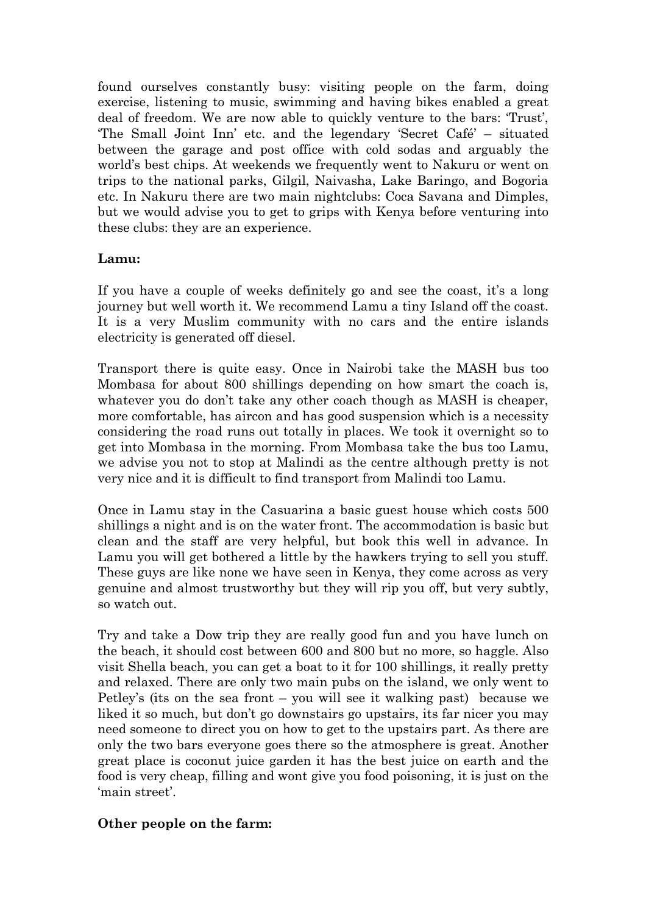found ourselves constantly busy: visiting people on the farm, doing exercise, listening to music, swimming and having bikes enabled a great deal of freedom. We are now able to quickly venture to the bars: 'Trust', 'The Small Joint Inn' etc. and the legendary 'Secret Café' – situated between the garage and post office with cold sodas and arguably the world's best chips. At weekends we frequently went to Nakuru or went on trips to the national parks, Gilgil, Naivasha, Lake Baringo, and Bogoria etc. In Nakuru there are two main nightclubs: Coca Savana and Dimples, but we would advise you to get to grips with Kenya before venturing into these clubs: they are an experience.

#### **Lamu:**

If you have a couple of weeks definitely go and see the coast, it's a long journey but well worth it. We recommend Lamu a tiny Island off the coast. It is a very Muslim community with no cars and the entire islands electricity is generated off diesel.

Transport there is quite easy. Once in Nairobi take the MASH bus too Mombasa for about 800 shillings depending on how smart the coach is, whatever you do don't take any other coach though as MASH is cheaper, more comfortable, has aircon and has good suspension which is a necessity considering the road runs out totally in places. We took it overnight so to get into Mombasa in the morning. From Mombasa take the bus too Lamu, we advise you not to stop at Malindi as the centre although pretty is not very nice and it is difficult to find transport from Malindi too Lamu.

Once in Lamu stay in the Casuarina a basic guest house which costs 500 shillings a night and is on the water front. The accommodation is basic but clean and the staff are very helpful, but book this well in advance. In Lamu you will get bothered a little by the hawkers trying to sell you stuff. These guys are like none we have seen in Kenya, they come across as very genuine and almost trustworthy but they will rip you off, but very subtly, so watch out.

Try and take a Dow trip they are really good fun and you have lunch on the beach, it should cost between 600 and 800 but no more, so haggle. Also visit Shella beach, you can get a boat to it for 100 shillings, it really pretty and relaxed. There are only two main pubs on the island, we only went to Petley's (its on the sea front – you will see it walking past) because we liked it so much, but don't go downstairs go upstairs, its far nicer you may need someone to direct you on how to get to the upstairs part. As there are only the two bars everyone goes there so the atmosphere is great. Another great place is coconut juice garden it has the best juice on earth and the food is very cheap, filling and wont give you food poisoning, it is just on the 'main street'.

#### **Other people on the farm:**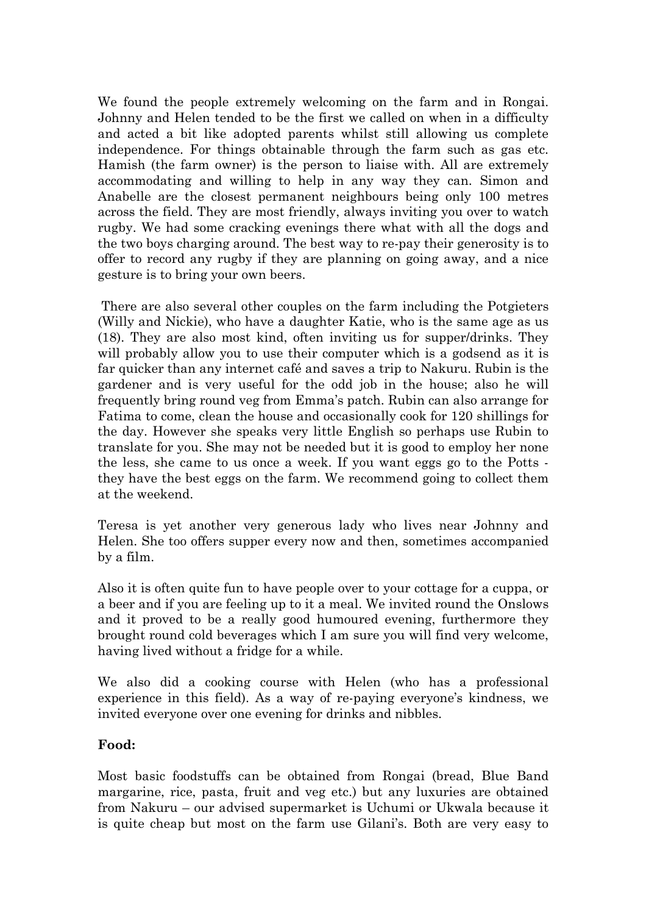We found the people extremely welcoming on the farm and in Rongai. Johnny and Helen tended to be the first we called on when in a difficulty and acted a bit like adopted parents whilst still allowing us complete independence. For things obtainable through the farm such as gas etc. Hamish (the farm owner) is the person to liaise with. All are extremely accommodating and willing to help in any way they can. Simon and Anabelle are the closest permanent neighbours being only 100 metres across the field. They are most friendly, always inviting you over to watch rugby. We had some cracking evenings there what with all the dogs and the two boys charging around. The best way to re-pay their generosity is to offer to record any rugby if they are planning on going away, and a nice gesture is to bring your own beers.

There are also several other couples on the farm including the Potgieters (Willy and Nickie), who have a daughter Katie, who is the same age as us (18). They are also most kind, often inviting us for supper/drinks. They will probably allow you to use their computer which is a godsend as it is far quicker than any internet café and saves a trip to Nakuru. Rubin is the gardener and is very useful for the odd job in the house; also he will frequently bring round veg from Emma's patch. Rubin can also arrange for Fatima to come, clean the house and occasionally cook for 120 shillings for the day. However she speaks very little English so perhaps use Rubin to translate for you. She may not be needed but it is good to employ her none the less, she came to us once a week. If you want eggs go to the Potts they have the best eggs on the farm. We recommend going to collect them at the weekend.

Teresa is yet another very generous lady who lives near Johnny and Helen. She too offers supper every now and then, sometimes accompanied by a film.

Also it is often quite fun to have people over to your cottage for a cuppa, or a beer and if you are feeling up to it a meal. We invited round the Onslows and it proved to be a really good humoured evening, furthermore they brought round cold beverages which I am sure you will find very welcome, having lived without a fridge for a while.

We also did a cooking course with Helen (who has a professional experience in this field). As a way of re-paying everyone's kindness, we invited everyone over one evening for drinks and nibbles.

#### **Food:**

Most basic foodstuffs can be obtained from Rongai (bread, Blue Band margarine, rice, pasta, fruit and veg etc.) but any luxuries are obtained from Nakuru – our advised supermarket is Uchumi or Ukwala because it is quite cheap but most on the farm use Gilani's. Both are very easy to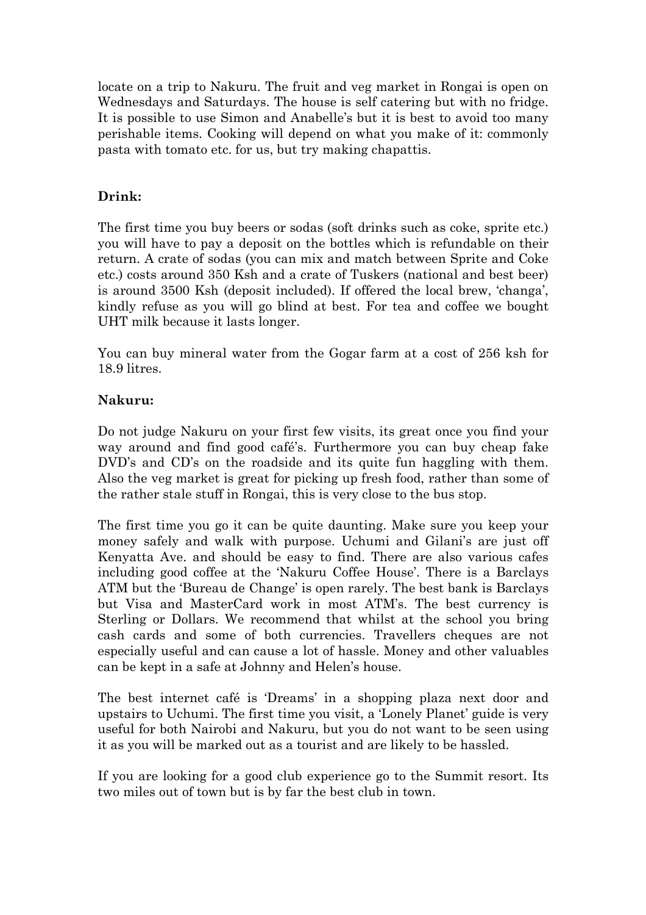locate on a trip to Nakuru. The fruit and veg market in Rongai is open on Wednesdays and Saturdays. The house is self catering but with no fridge. It is possible to use Simon and Anabelle's but it is best to avoid too many perishable items. Cooking will depend on what you make of it: commonly pasta with tomato etc. for us, but try making chapattis.

#### **Drink:**

The first time you buy beers or sodas (soft drinks such as coke, sprite etc.) you will have to pay a deposit on the bottles which is refundable on their return. A crate of sodas (you can mix and match between Sprite and Coke etc.) costs around 350 Ksh and a crate of Tuskers (national and best beer) is around 3500 Ksh (deposit included). If offered the local brew, 'changa', kindly refuse as you will go blind at best. For tea and coffee we bought UHT milk because it lasts longer.

You can buy mineral water from the Gogar farm at a cost of 256 ksh for 18.9 litres.

#### **Nakuru:**

Do not judge Nakuru on your first few visits, its great once you find your way around and find good café's. Furthermore you can buy cheap fake DVD's and CD's on the roadside and its quite fun haggling with them. Also the veg market is great for picking up fresh food, rather than some of the rather stale stuff in Rongai, this is very close to the bus stop.

The first time you go it can be quite daunting. Make sure you keep your money safely and walk with purpose. Uchumi and Gilani's are just off Kenyatta Ave. and should be easy to find. There are also various cafes including good coffee at the 'Nakuru Coffee House'. There is a Barclays ATM but the 'Bureau de Change' is open rarely. The best bank is Barclays but Visa and MasterCard work in most ATM's. The best currency is Sterling or Dollars. We recommend that whilst at the school you bring cash cards and some of both currencies. Travellers cheques are not especially useful and can cause a lot of hassle. Money and other valuables can be kept in a safe at Johnny and Helen's house.

The best internet café is 'Dreams' in a shopping plaza next door and upstairs to Uchumi. The first time you visit, a 'Lonely Planet' guide is very useful for both Nairobi and Nakuru, but you do not want to be seen using it as you will be marked out as a tourist and are likely to be hassled.

If you are looking for a good club experience go to the Summit resort. Its two miles out of town but is by far the best club in town.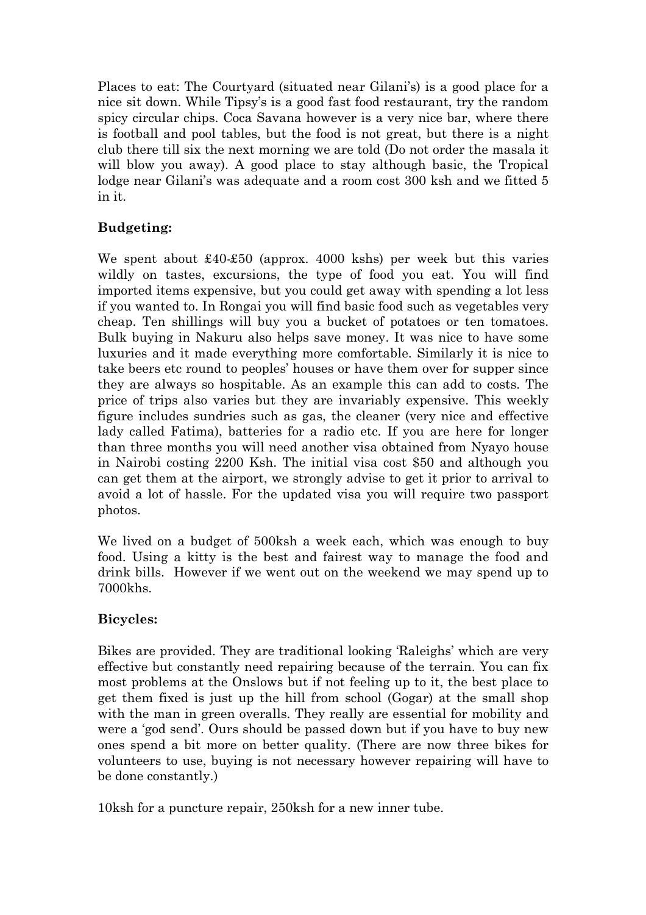Places to eat: The Courtyard (situated near Gilani's) is a good place for a nice sit down. While Tipsy's is a good fast food restaurant, try the random spicy circular chips. Coca Savana however is a very nice bar, where there is football and pool tables, but the food is not great, but there is a night club there till six the next morning we are told (Do not order the masala it will blow you away). A good place to stay although basic, the Tropical lodge near Gilani's was adequate and a room cost 300 ksh and we fitted 5 in it.

# **Budgeting:**

We spent about £40-£50 (approx. 4000 kshs) per week but this varies wildly on tastes, excursions, the type of food you eat. You will find imported items expensive, but you could get away with spending a lot less if you wanted to. In Rongai you will find basic food such as vegetables very cheap. Ten shillings will buy you a bucket of potatoes or ten tomatoes. Bulk buying in Nakuru also helps save money. It was nice to have some luxuries and it made everything more comfortable. Similarly it is nice to take beers etc round to peoples' houses or have them over for supper since they are always so hospitable. As an example this can add to costs. The price of trips also varies but they are invariably expensive. This weekly figure includes sundries such as gas, the cleaner (very nice and effective lady called Fatima), batteries for a radio etc. If you are here for longer than three months you will need another visa obtained from Nyayo house in Nairobi costing 2200 Ksh. The initial visa cost \$50 and although you can get them at the airport, we strongly advise to get it prior to arrival to avoid a lot of hassle. For the updated visa you will require two passport photos.

We lived on a budget of 500ksh a week each, which was enough to buy food. Using a kitty is the best and fairest way to manage the food and drink bills. However if we went out on the weekend we may spend up to 7000khs.

# **Bicycles:**

Bikes are provided. They are traditional looking 'Raleighs' which are very effective but constantly need repairing because of the terrain. You can fix most problems at the Onslows but if not feeling up to it, the best place to get them fixed is just up the hill from school (Gogar) at the small shop with the man in green overalls. They really are essential for mobility and were a 'god send'. Ours should be passed down but if you have to buy new ones spend a bit more on better quality. (There are now three bikes for volunteers to use, buying is not necessary however repairing will have to be done constantly.)

10ksh for a puncture repair, 250ksh for a new inner tube.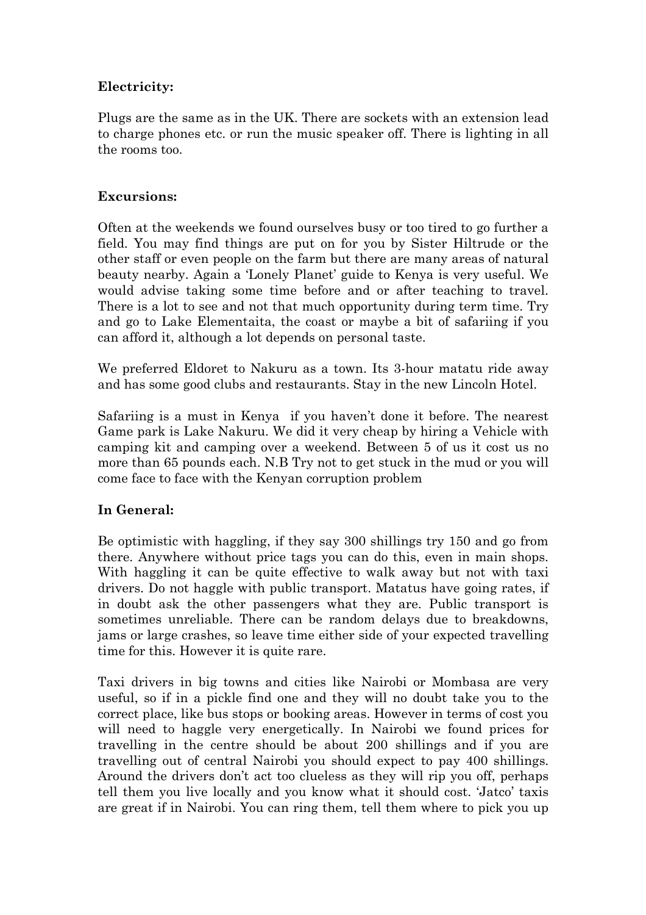# **Electricity:**

Plugs are the same as in the UK. There are sockets with an extension lead to charge phones etc. or run the music speaker off. There is lighting in all the rooms too.

#### **Excursions:**

Often at the weekends we found ourselves busy or too tired to go further a field. You may find things are put on for you by Sister Hiltrude or the other staff or even people on the farm but there are many areas of natural beauty nearby. Again a 'Lonely Planet' guide to Kenya is very useful. We would advise taking some time before and or after teaching to travel. There is a lot to see and not that much opportunity during term time. Try and go to Lake Elementaita, the coast or maybe a bit of safariing if you can afford it, although a lot depends on personal taste.

We preferred Eldoret to Nakuru as a town. Its 3-hour matatu ride away and has some good clubs and restaurants. Stay in the new Lincoln Hotel.

Safariing is a must in Kenya if you haven't done it before. The nearest Game park is Lake Nakuru. We did it very cheap by hiring a Vehicle with camping kit and camping over a weekend. Between 5 of us it cost us no more than 65 pounds each. N.B Try not to get stuck in the mud or you will come face to face with the Kenyan corruption problem

# **In General:**

Be optimistic with haggling, if they say 300 shillings try 150 and go from there. Anywhere without price tags you can do this, even in main shops. With haggling it can be quite effective to walk away but not with taxi drivers. Do not haggle with public transport. Matatus have going rates, if in doubt ask the other passengers what they are. Public transport is sometimes unreliable. There can be random delays due to breakdowns, jams or large crashes, so leave time either side of your expected travelling time for this. However it is quite rare.

Taxi drivers in big towns and cities like Nairobi or Mombasa are very useful, so if in a pickle find one and they will no doubt take you to the correct place, like bus stops or booking areas. However in terms of cost you will need to haggle very energetically. In Nairobi we found prices for travelling in the centre should be about 200 shillings and if you are travelling out of central Nairobi you should expect to pay 400 shillings. Around the drivers don't act too clueless as they will rip you off, perhaps tell them you live locally and you know what it should cost. 'Jatco' taxis are great if in Nairobi. You can ring them, tell them where to pick you up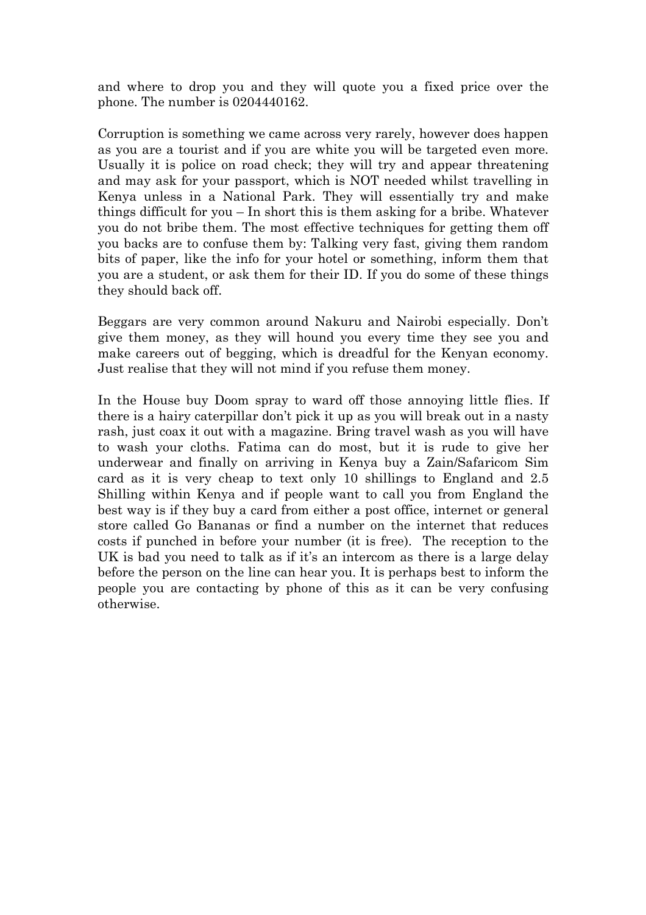and where to drop you and they will quote you a fixed price over the phone. The number is 0204440162.

Corruption is something we came across very rarely, however does happen as you are a tourist and if you are white you will be targeted even more. Usually it is police on road check; they will try and appear threatening and may ask for your passport, which is NOT needed whilst travelling in Kenya unless in a National Park. They will essentially try and make things difficult for you – In short this is them asking for a bribe. Whatever you do not bribe them. The most effective techniques for getting them off you backs are to confuse them by: Talking very fast, giving them random bits of paper, like the info for your hotel or something, inform them that you are a student, or ask them for their ID. If you do some of these things they should back off.

Beggars are very common around Nakuru and Nairobi especially. Don't give them money, as they will hound you every time they see you and make careers out of begging, which is dreadful for the Kenyan economy. Just realise that they will not mind if you refuse them money.

In the House buy Doom spray to ward off those annoying little flies. If there is a hairy caterpillar don't pick it up as you will break out in a nasty rash, just coax it out with a magazine. Bring travel wash as you will have to wash your cloths. Fatima can do most, but it is rude to give her underwear and finally on arriving in Kenya buy a Zain/Safaricom Sim card as it is very cheap to text only 10 shillings to England and 2.5 Shilling within Kenya and if people want to call you from England the best way is if they buy a card from either a post office, internet or general store called Go Bananas or find a number on the internet that reduces costs if punched in before your number (it is free). The reception to the UK is bad you need to talk as if it's an intercom as there is a large delay before the person on the line can hear you. It is perhaps best to inform the people you are contacting by phone of this as it can be very confusing otherwise.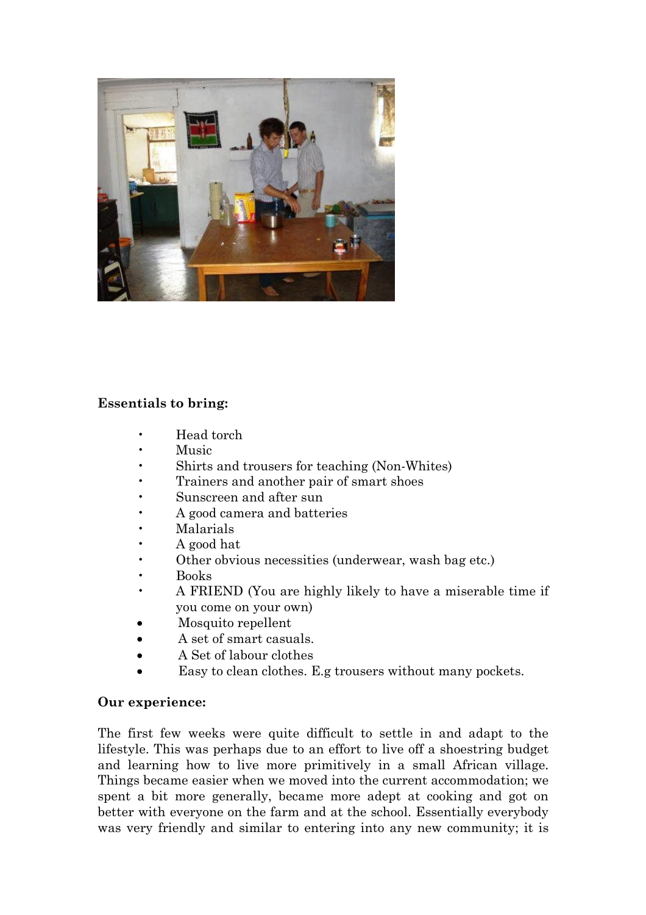

# **Essentials to bring:**

- Head torch
- Music
- Shirts and trousers for teaching (Non-Whites)
- Trainers and another pair of smart shoes
- Sunscreen and after sun
- A good camera and batteries
- Malarials
- A good hat
- Other obvious necessities (underwear, wash bag etc.)
- Books
- A FRIEND (You are highly likely to have a miserable time if you come on your own)
- Mosquito repellent
- A set of smart casuals.
- A Set of labour clothes
- Easy to clean clothes. E.g trousers without many pockets.

# **Our experience:**

The first few weeks were quite difficult to settle in and adapt to the lifestyle. This was perhaps due to an effort to live off a shoestring budget and learning how to live more primitively in a small African village. Things became easier when we moved into the current accommodation; we spent a bit more generally, became more adept at cooking and got on better with everyone on the farm and at the school. Essentially everybody was very friendly and similar to entering into any new community; it is